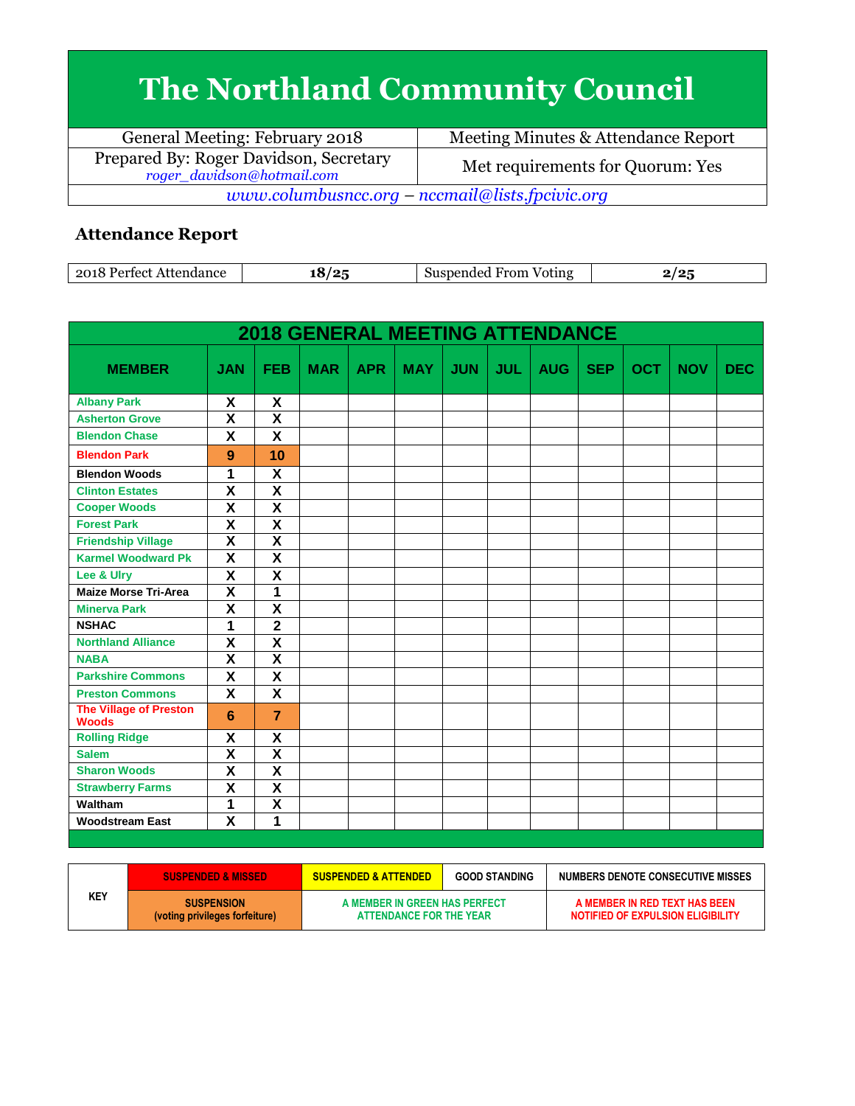## **The Northland Community Council**

| General Meeting: February 2018                                       | Meeting Minutes & Attendance Report |  |  |  |  |
|----------------------------------------------------------------------|-------------------------------------|--|--|--|--|
| Prepared By: Roger Davidson, Secretary<br>roger_davidson@hotmail.com | Met requirements for Quorum: Yes    |  |  |  |  |
| www.columbusncc.org – nccmail@lists.fpcivic.org                      |                                     |  |  |  |  |

## **Attendance Report**

| 2018<br>Attendance<br>Partact | $\sqrt{2}$<br>. . | - -<br>From<br>Suspended<br>Voting | . . |
|-------------------------------|-------------------|------------------------------------|-----|

|                                        |                           |                           | <b>2018 GENERAL MEETING ATTENDANCE</b> |            |            |            |            |            |            |            |            |            |
|----------------------------------------|---------------------------|---------------------------|----------------------------------------|------------|------------|------------|------------|------------|------------|------------|------------|------------|
| <b>MEMBER</b>                          | <b>JAN</b>                | <b>FEB</b>                | <b>MAR</b>                             | <b>APR</b> | <b>MAY</b> | <b>JUN</b> | <b>JUL</b> | <b>AUG</b> | <b>SEP</b> | <b>OCT</b> | <b>NOV</b> | <b>DEC</b> |
| <b>Albany Park</b>                     | X                         | X                         |                                        |            |            |            |            |            |            |            |            |            |
| <b>Asherton Grove</b>                  | $\overline{\mathsf{x}}$   | $\overline{\mathsf{x}}$   |                                        |            |            |            |            |            |            |            |            |            |
| <b>Blendon Chase</b>                   | $\overline{\mathsf{x}}$   | X                         |                                        |            |            |            |            |            |            |            |            |            |
| <b>Blendon Park</b>                    | 9                         | 10                        |                                        |            |            |            |            |            |            |            |            |            |
| <b>Blendon Woods</b>                   | 1                         | χ                         |                                        |            |            |            |            |            |            |            |            |            |
| <b>Clinton Estates</b>                 | $\overline{\textsf{x}}$   | $\overline{\mathbf{X}}$   |                                        |            |            |            |            |            |            |            |            |            |
| <b>Cooper Woods</b>                    | X                         | $\overline{\mathsf{x}}$   |                                        |            |            |            |            |            |            |            |            |            |
| <b>Forest Park</b>                     | $\overline{\mathbf{x}}$   | $\overline{\mathbf{X}}$   |                                        |            |            |            |            |            |            |            |            |            |
| <b>Friendship Village</b>              | $\overline{\mathsf{x}}$   | $\overline{\mathbf{x}}$   |                                        |            |            |            |            |            |            |            |            |            |
| <b>Karmel Woodward Pk</b>              | $\boldsymbol{\mathsf{X}}$ | $\boldsymbol{\mathsf{X}}$ |                                        |            |            |            |            |            |            |            |            |            |
| Lee & Ulry                             | $\overline{\mathsf{x}}$   | $\overline{\mathsf{x}}$   |                                        |            |            |            |            |            |            |            |            |            |
| <b>Maize Morse Tri-Area</b>            | $\overline{\mathsf{x}}$   | $\overline{1}$            |                                        |            |            |            |            |            |            |            |            |            |
| <b>Minerva Park</b>                    | $\overline{\mathbf{x}}$   | $\overline{\mathsf{x}}$   |                                        |            |            |            |            |            |            |            |            |            |
| <b>NSHAC</b>                           | $\overline{1}$            | $\overline{\mathbf{2}}$   |                                        |            |            |            |            |            |            |            |            |            |
| <b>Northland Alliance</b>              | X                         | $\overline{\mathbf{X}}$   |                                        |            |            |            |            |            |            |            |            |            |
| <b>NABA</b>                            | $\overline{\mathbf{x}}$   | $\overline{\mathbf{x}}$   |                                        |            |            |            |            |            |            |            |            |            |
| <b>Parkshire Commons</b>               | X                         | X                         |                                        |            |            |            |            |            |            |            |            |            |
| <b>Preston Commons</b>                 | X                         | X                         |                                        |            |            |            |            |            |            |            |            |            |
| The Village of Preston<br><b>Woods</b> | 6                         | $\overline{7}$            |                                        |            |            |            |            |            |            |            |            |            |
| <b>Rolling Ridge</b>                   | X                         | $\boldsymbol{\mathsf{X}}$ |                                        |            |            |            |            |            |            |            |            |            |
| <b>Salem</b>                           | $\overline{\mathbf{x}}$   | $\overline{\mathbf{x}}$   |                                        |            |            |            |            |            |            |            |            |            |
| <b>Sharon Woods</b>                    | $\overline{\mathsf{x}}$   | $\overline{\mathsf{x}}$   |                                        |            |            |            |            |            |            |            |            |            |
| <b>Strawberry Farms</b>                | $\overline{\mathbf{x}}$   | $\overline{\mathbf{X}}$   |                                        |            |            |            |            |            |            |            |            |            |
| Waltham                                | 1                         | $\overline{\mathbf{X}}$   |                                        |            |            |            |            |            |            |            |            |            |
| <b>Woodstream East</b>                 | $\overline{\mathsf{x}}$   | $\overline{1}$            |                                        |            |            |            |            |            |            |            |            |            |
|                                        |                           |                           |                                        |            |            |            |            |            |            |            |            |            |

|     | <b>SUSPENDED &amp; MISSED</b>                       | <b>SUSPENDED &amp; ATTENDED</b>                          | <b>GOOD STANDING</b> | NUMBERS DENOTE CONSECUTIVE MISSES                                         |
|-----|-----------------------------------------------------|----------------------------------------------------------|----------------------|---------------------------------------------------------------------------|
| KEY | <b>SUSPENSION</b><br>(voting privileges forfeiture) | A MEMBER IN GREEN HAS PERFECT<br>ATTENDANCE FOR THE YEAR |                      | A MEMBER IN RED TEXT HAS BEEN<br><b>NOTIFIED OF EXPULSION ELIGIBILITY</b> |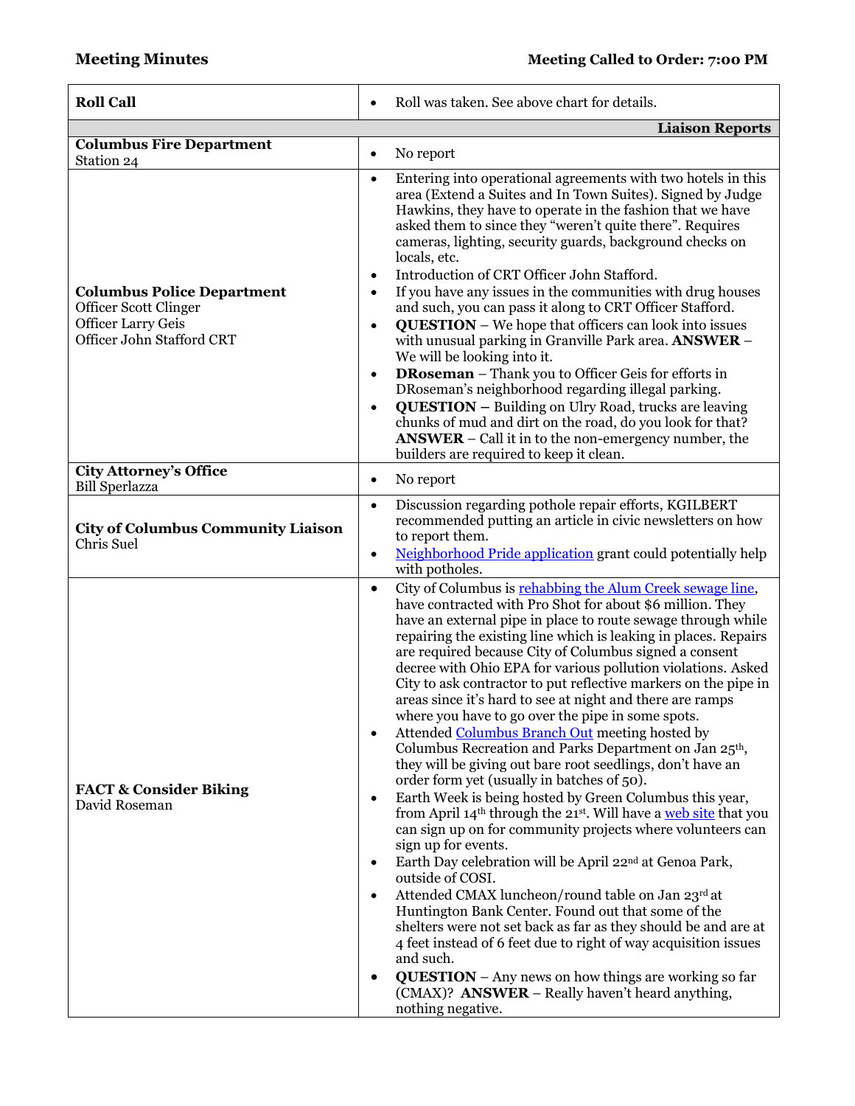| <b>Roll Call</b>                                                                                                            | Roll was taken. See above chart for details.                                                                                                                                                                                                                                                                                                                                                                                                                                                                                                                                                                                                                                                                                                                                                                                                                                                                                                                                                                                                                                                                                                                                                                                                                                                                                                                                                                                                                                                                                                                                                                             |
|-----------------------------------------------------------------------------------------------------------------------------|--------------------------------------------------------------------------------------------------------------------------------------------------------------------------------------------------------------------------------------------------------------------------------------------------------------------------------------------------------------------------------------------------------------------------------------------------------------------------------------------------------------------------------------------------------------------------------------------------------------------------------------------------------------------------------------------------------------------------------------------------------------------------------------------------------------------------------------------------------------------------------------------------------------------------------------------------------------------------------------------------------------------------------------------------------------------------------------------------------------------------------------------------------------------------------------------------------------------------------------------------------------------------------------------------------------------------------------------------------------------------------------------------------------------------------------------------------------------------------------------------------------------------------------------------------------------------------------------------------------------------|
|                                                                                                                             | <b>Liaison Reports</b>                                                                                                                                                                                                                                                                                                                                                                                                                                                                                                                                                                                                                                                                                                                                                                                                                                                                                                                                                                                                                                                                                                                                                                                                                                                                                                                                                                                                                                                                                                                                                                                                   |
| <b>Columbus Fire Department</b><br>Station 24                                                                               | No report<br>$\bullet$                                                                                                                                                                                                                                                                                                                                                                                                                                                                                                                                                                                                                                                                                                                                                                                                                                                                                                                                                                                                                                                                                                                                                                                                                                                                                                                                                                                                                                                                                                                                                                                                   |
| <b>Columbus Police Department</b><br><b>Officer Scott Clinger</b><br><b>Officer Larry Geis</b><br>Officer John Stafford CRT | Entering into operational agreements with two hotels in this<br>$\bullet$<br>area (Extend a Suites and In Town Suites). Signed by Judge<br>Hawkins, they have to operate in the fashion that we have<br>asked them to since they "weren't quite there". Requires<br>cameras, lighting, security guards, background checks on<br>locals, etc.<br>Introduction of CRT Officer John Stafford.<br>$\bullet$<br>If you have any issues in the communities with drug houses<br>$\bullet$<br>and such, you can pass it along to CRT Officer Stafford.<br><b>QUESTION</b> – We hope that officers can look into issues<br>$\bullet$<br>with unusual parking in Granville Park area. ANSWER -<br>We will be looking into it.<br><b>DRoseman</b> – Thank you to Officer Geis for efforts in<br>$\bullet$<br>DRoseman's neighborhood regarding illegal parking.<br><b>QUESTION</b> – Building on Ulry Road, trucks are leaving<br>$\bullet$<br>chunks of mud and dirt on the road, do you look for that?<br>$ANSWER - Call$ it in to the non-emergency number, the<br>builders are required to keep it clean.                                                                                                                                                                                                                                                                                                                                                                                                                                                                                                                       |
| <b>City Attorney's Office</b><br><b>Bill Sperlazza</b>                                                                      | No report<br>$\bullet$                                                                                                                                                                                                                                                                                                                                                                                                                                                                                                                                                                                                                                                                                                                                                                                                                                                                                                                                                                                                                                                                                                                                                                                                                                                                                                                                                                                                                                                                                                                                                                                                   |
| <b>City of Columbus Community Liaison</b><br>Chris Suel                                                                     | Discussion regarding pothole repair efforts, KGILBERT<br>$\bullet$<br>recommended putting an article in civic newsletters on how<br>to report them.<br>Neighborhood Pride application grant could potentially help<br>$\bullet$<br>with potholes.                                                                                                                                                                                                                                                                                                                                                                                                                                                                                                                                                                                                                                                                                                                                                                                                                                                                                                                                                                                                                                                                                                                                                                                                                                                                                                                                                                        |
| <b>FACT &amp; Consider Biking</b><br>David Roseman                                                                          | City of Columbus is rehabbing the Alum Creek sewage line,<br>$\bullet$<br>have contracted with Pro Shot for about \$6 million. They<br>have an external pipe in place to route sewage through while<br>repairing the existing line which is leaking in places. Repairs<br>are required because City of Columbus signed a consent<br>decree with Ohio EPA for various pollution violations. Asked<br>City to ask contractor to put reflective markers on the pipe in<br>areas since it's hard to see at night and there are ramps<br>where you have to go over the pipe in some spots.<br>Attended Columbus Branch Out meeting hosted by<br>$\bullet$<br>Columbus Recreation and Parks Department on Jan 25 <sup>th</sup> ,<br>they will be giving out bare root seedlings, don't have an<br>order form yet (usually in batches of 50).<br>Earth Week is being hosted by Green Columbus this year,<br>$\bullet$<br>from April 14 <sup>th</sup> through the 21 <sup>st</sup> . Will have a web site that you<br>can sign up on for community projects where volunteers can<br>sign up for events.<br>Earth Day celebration will be April 22 <sup>nd</sup> at Genoa Park,<br>$\bullet$<br>outside of COSI.<br>Attended CMAX luncheon/round table on Jan 23rd at<br>$\bullet$<br>Huntington Bank Center. Found out that some of the<br>shelters were not set back as far as they should be and are at<br>4 feet instead of 6 feet due to right of way acquisition issues<br>and such.<br><b>QUESTION</b> - Any news on how things are working so far<br>(CMAX)? ANSWER - Really haven't heard anything,<br>nothing negative. |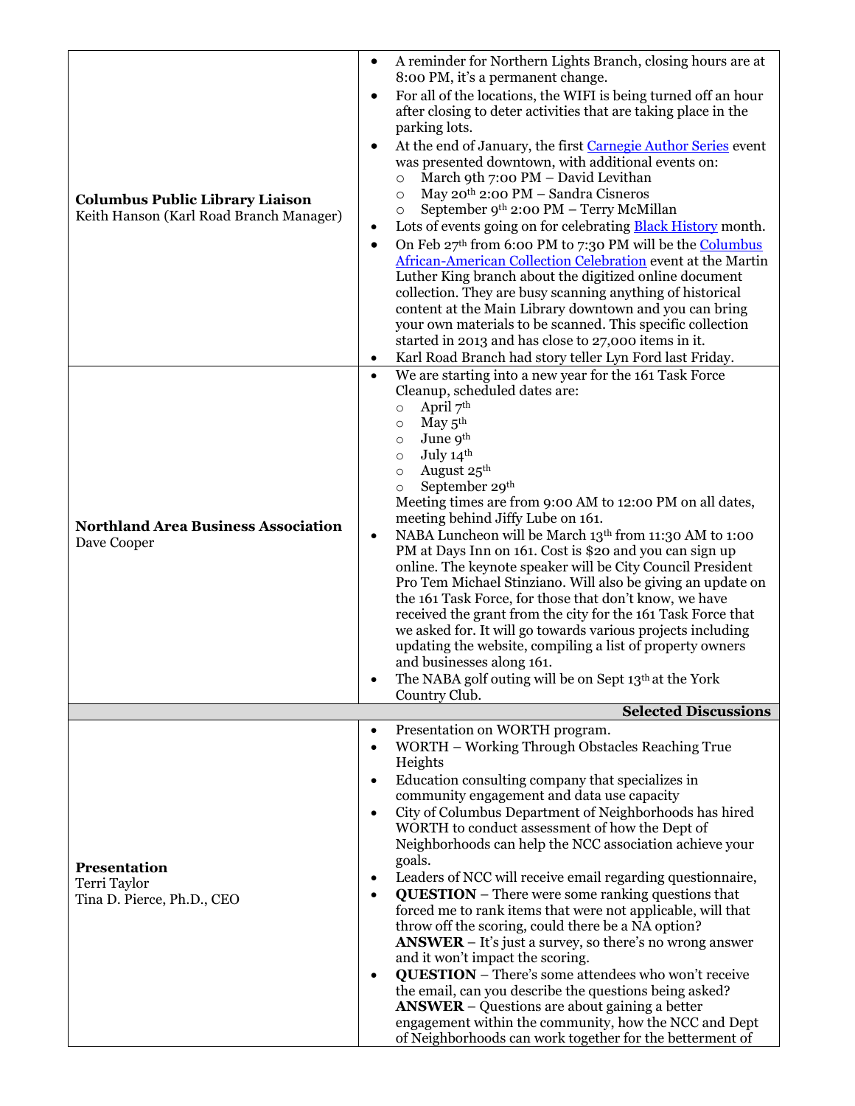|                                                                                   | $\bullet$              | A reminder for Northern Lights Branch, closing hours are at                                                                  |
|-----------------------------------------------------------------------------------|------------------------|------------------------------------------------------------------------------------------------------------------------------|
| <b>Columbus Public Library Liaison</b><br>Keith Hanson (Karl Road Branch Manager) | $\bullet$              | 8:00 PM, it's a permanent change.<br>For all of the locations, the WIFI is being turned off an hour                          |
|                                                                                   |                        | after closing to deter activities that are taking place in the                                                               |
|                                                                                   |                        | parking lots.                                                                                                                |
|                                                                                   | $\bullet$              | At the end of January, the first Carnegie Author Series event                                                                |
|                                                                                   |                        | was presented downtown, with additional events on:<br>March 9th 7:00 PM - David Levithan<br>$\circ$                          |
|                                                                                   |                        | May 20 <sup>th</sup> 2:00 PM - Sandra Cisneros<br>$\circ$                                                                    |
|                                                                                   |                        | September 9th 2:00 PM - Terry McMillan<br>$\circ$                                                                            |
|                                                                                   | ٠                      | Lots of events going on for celebrating <b>Black History</b> month.                                                          |
|                                                                                   | $\bullet$              | On Feb 27th from 6:00 PM to 7:30 PM will be the Columbus                                                                     |
|                                                                                   |                        | <b>African-American Collection Celebration event at the Martin</b><br>Luther King branch about the digitized online document |
|                                                                                   |                        | collection. They are busy scanning anything of historical                                                                    |
|                                                                                   |                        | content at the Main Library downtown and you can bring                                                                       |
|                                                                                   |                        | your own materials to be scanned. This specific collection                                                                   |
|                                                                                   |                        | started in 2013 and has close to 27,000 items in it.                                                                         |
|                                                                                   | $\bullet$<br>$\bullet$ | Karl Road Branch had story teller Lyn Ford last Friday.<br>We are starting into a new year for the 161 Task Force            |
|                                                                                   |                        | Cleanup, scheduled dates are:                                                                                                |
|                                                                                   |                        | April 7th<br>$\circ$                                                                                                         |
|                                                                                   |                        | May $5^{\text{th}}$<br>$\circ$                                                                                               |
|                                                                                   |                        | June 9th<br>$\circ$<br>July 14th                                                                                             |
|                                                                                   |                        | $\circ$<br>August 25 <sup>th</sup><br>$\circ$                                                                                |
|                                                                                   |                        | September 29 <sup>th</sup><br>$\circ$                                                                                        |
|                                                                                   |                        | Meeting times are from 9:00 AM to 12:00 PM on all dates,                                                                     |
| <b>Northland Area Business Association</b>                                        |                        | meeting behind Jiffy Lube on 161.                                                                                            |
| Dave Cooper                                                                       | $\bullet$              | NABA Luncheon will be March 13th from 11:30 AM to 1:00<br>PM at Days Inn on 161. Cost is \$20 and you can sign up            |
|                                                                                   |                        | online. The keynote speaker will be City Council President                                                                   |
|                                                                                   |                        | Pro Tem Michael Stinziano. Will also be giving an update on                                                                  |
|                                                                                   |                        | the 161 Task Force, for those that don't know, we have                                                                       |
|                                                                                   |                        | received the grant from the city for the 161 Task Force that<br>we asked for. It will go towards various projects including  |
|                                                                                   |                        | updating the website, compiling a list of property owners                                                                    |
|                                                                                   |                        | and businesses along 161.                                                                                                    |
|                                                                                   |                        | The NABA golf outing will be on Sept 13th at the York                                                                        |
|                                                                                   |                        | Country Club.<br><b>Selected Discussions</b>                                                                                 |
|                                                                                   | ٠                      | Presentation on WORTH program.                                                                                               |
|                                                                                   |                        | WORTH - Working Through Obstacles Reaching True                                                                              |
|                                                                                   |                        | Heights                                                                                                                      |
|                                                                                   |                        | Education consulting company that specializes in<br>community engagement and data use capacity                               |
|                                                                                   | $\bullet$              | City of Columbus Department of Neighborhoods has hired                                                                       |
|                                                                                   |                        | WORTH to conduct assessment of how the Dept of                                                                               |
|                                                                                   |                        | Neighborhoods can help the NCC association achieve your                                                                      |
| Presentation<br>Terri Taylor<br>Tina D. Pierce, Ph.D., CEO                        |                        | goals.                                                                                                                       |
|                                                                                   | $\bullet$<br>$\bullet$ | Leaders of NCC will receive email regarding questionnaire,<br><b>QUESTION</b> – There were some ranking questions that       |
|                                                                                   |                        | forced me to rank items that were not applicable, will that                                                                  |
|                                                                                   |                        | throw off the scoring, could there be a NA option?                                                                           |
|                                                                                   |                        | $ANSWER - It's just a survey, so there's no wrong answer$                                                                    |
|                                                                                   | $\bullet$              | and it won't impact the scoring.<br><b>QUESTION</b> - There's some attendees who won't receive                               |
|                                                                                   |                        | the email, can you describe the questions being asked?                                                                       |
|                                                                                   |                        | <b>ANSWER</b> – Questions are about gaining a better                                                                         |
|                                                                                   |                        | engagement within the community, how the NCC and Dept                                                                        |
|                                                                                   |                        | of Neighborhoods can work together for the betterment of                                                                     |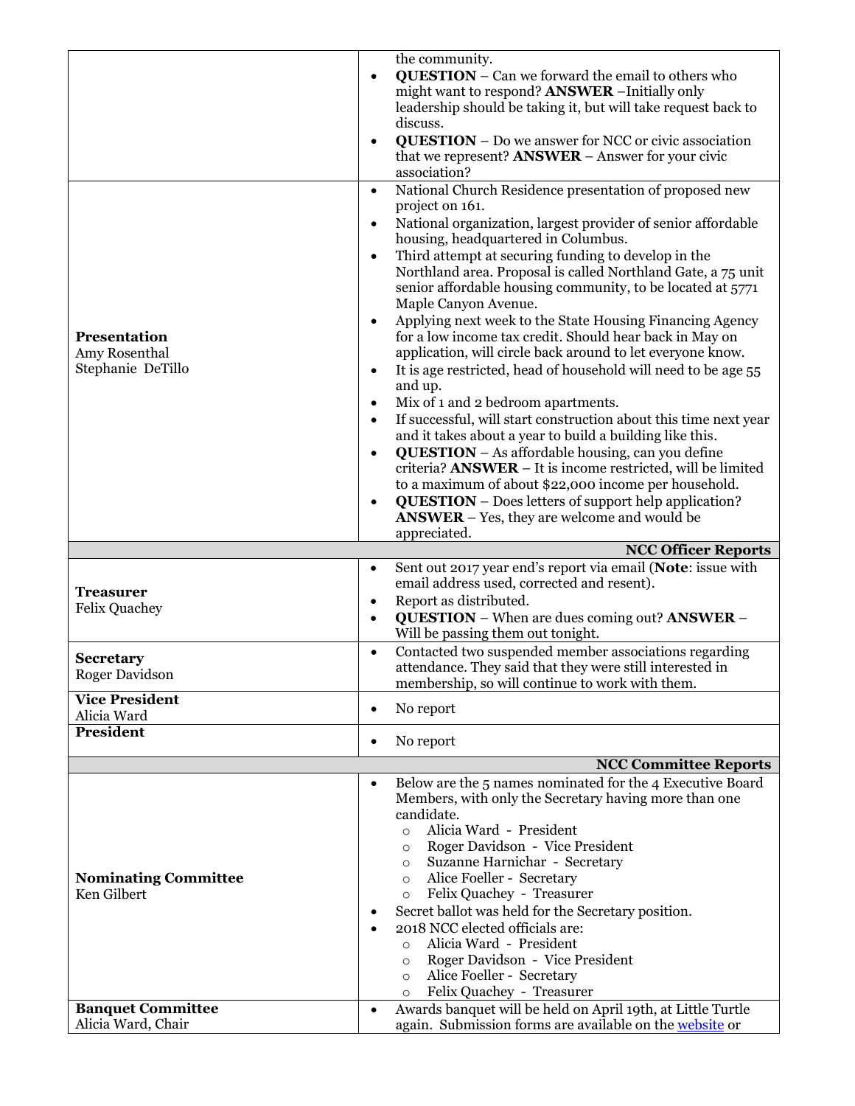|                                                | the community.                                                                                                                      |
|------------------------------------------------|-------------------------------------------------------------------------------------------------------------------------------------|
|                                                | <b>QUESTION</b> - Can we forward the email to others who                                                                            |
|                                                | might want to respond? <b>ANSWER</b> - Initially only                                                                               |
|                                                | leadership should be taking it, but will take request back to                                                                       |
|                                                | discuss.                                                                                                                            |
|                                                | <b>QUESTION</b> – Do we answer for NCC or civic association<br>$\bullet$                                                            |
|                                                | that we represent? $ANSWER - Answer$ for your civic                                                                                 |
|                                                | association?                                                                                                                        |
|                                                | National Church Residence presentation of proposed new<br>$\bullet$                                                                 |
|                                                | project on 161.                                                                                                                     |
|                                                | National organization, largest provider of senior affordable<br>$\bullet$<br>housing, headquartered in Columbus.                    |
|                                                | Third attempt at securing funding to develop in the<br>$\bullet$                                                                    |
|                                                | Northland area. Proposal is called Northland Gate, a 75 unit                                                                        |
|                                                | senior affordable housing community, to be located at 5771                                                                          |
|                                                | Maple Canyon Avenue.                                                                                                                |
|                                                | Applying next week to the State Housing Financing Agency<br>$\bullet$                                                               |
| Presentation                                   | for a low income tax credit. Should hear back in May on                                                                             |
| Amy Rosenthal                                  | application, will circle back around to let everyone know.                                                                          |
| Stephanie DeTillo                              | It is age restricted, head of household will need to be age 55                                                                      |
|                                                | and up.                                                                                                                             |
|                                                | Mix of 1 and 2 bedroom apartments.<br>$\bullet$                                                                                     |
|                                                | If successful, will start construction about this time next year<br>$\bullet$                                                       |
|                                                | and it takes about a year to build a building like this.                                                                            |
|                                                | <b>QUESTION</b> – As affordable housing, can you define<br>$\bullet$                                                                |
|                                                | criteria? ANSWER - It is income restricted, will be limited                                                                         |
|                                                | to a maximum of about \$22,000 income per household.                                                                                |
|                                                | <b>QUESTION</b> – Does letters of support help application?                                                                         |
|                                                | <b>ANSWER</b> – Yes, they are welcome and would be                                                                                  |
|                                                | appreciated.                                                                                                                        |
|                                                |                                                                                                                                     |
|                                                | <b>NCC Officer Reports</b>                                                                                                          |
|                                                | Sent out 2017 year end's report via email (Note: issue with<br>$\bullet$                                                            |
|                                                | email address used, corrected and resent).                                                                                          |
| <b>Treasurer</b>                               | Report as distributed.<br>$\bullet$                                                                                                 |
| <b>Felix Quachey</b>                           | <b>QUESTION</b> – When are dues coming out? <b>ANSWER</b> –<br>$\bullet$                                                            |
|                                                | Will be passing them out tonight.                                                                                                   |
| <b>Secretary</b>                               | Contacted two suspended member associations regarding<br>$\bullet$                                                                  |
| Roger Davidson                                 | attendance. They said that they were still interested in                                                                            |
|                                                | membership, so will continue to work with them.                                                                                     |
| <b>Vice President</b><br>Alicia Ward           | No report<br>$\bullet$                                                                                                              |
| <b>President</b>                               | No report                                                                                                                           |
|                                                | <b>NCC Committee Reports</b>                                                                                                        |
|                                                | Below are the 5 names nominated for the 4 Executive Board<br>$\bullet$                                                              |
|                                                | Members, with only the Secretary having more than one                                                                               |
|                                                | candidate.                                                                                                                          |
|                                                | Alicia Ward - President<br>$\circ$                                                                                                  |
|                                                | Roger Davidson - Vice President<br>$\circ$                                                                                          |
|                                                | Suzanne Harnichar - Secretary<br>$\circ$                                                                                            |
| <b>Nominating Committee</b>                    | Alice Foeller - Secretary<br>$\circ$                                                                                                |
| Ken Gilbert                                    | Felix Quachey - Treasurer<br>$\circ$                                                                                                |
|                                                | Secret ballot was held for the Secretary position.                                                                                  |
|                                                | 2018 NCC elected officials are:                                                                                                     |
|                                                | Alicia Ward - President<br>$\circ$                                                                                                  |
|                                                | Roger Davidson - Vice President<br>$\circ$                                                                                          |
|                                                | Alice Foeller - Secretary<br>$\circ$                                                                                                |
|                                                | Felix Quachey - Treasurer<br>$\circ$                                                                                                |
| <b>Banquet Committee</b><br>Alicia Ward, Chair | Awards banquet will be held on April 19th, at Little Turtle<br>$\bullet$<br>again. Submission forms are available on the website or |